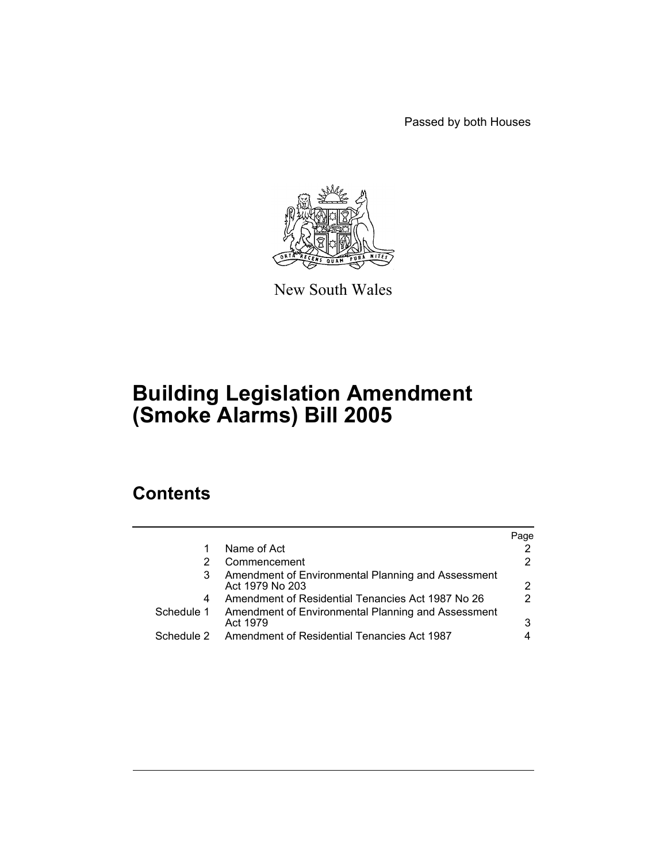Passed by both Houses



New South Wales

# **Building Legislation Amendment (Smoke Alarms) Bill 2005**

# **Contents**

|                          |                                                                                                               | Page |
|--------------------------|---------------------------------------------------------------------------------------------------------------|------|
|                          | Name of Act                                                                                                   |      |
|                          | Commencement                                                                                                  |      |
| 3                        | Amendment of Environmental Planning and Assessment<br>Act 1979 No 203                                         | 2    |
| 4                        | Amendment of Residential Tenancies Act 1987 No 26                                                             | 2    |
| Schedule 1<br>Schedule 2 | Amendment of Environmental Planning and Assessment<br>Act 1979<br>Amendment of Residential Tenancies Act 1987 | 3    |
|                          |                                                                                                               |      |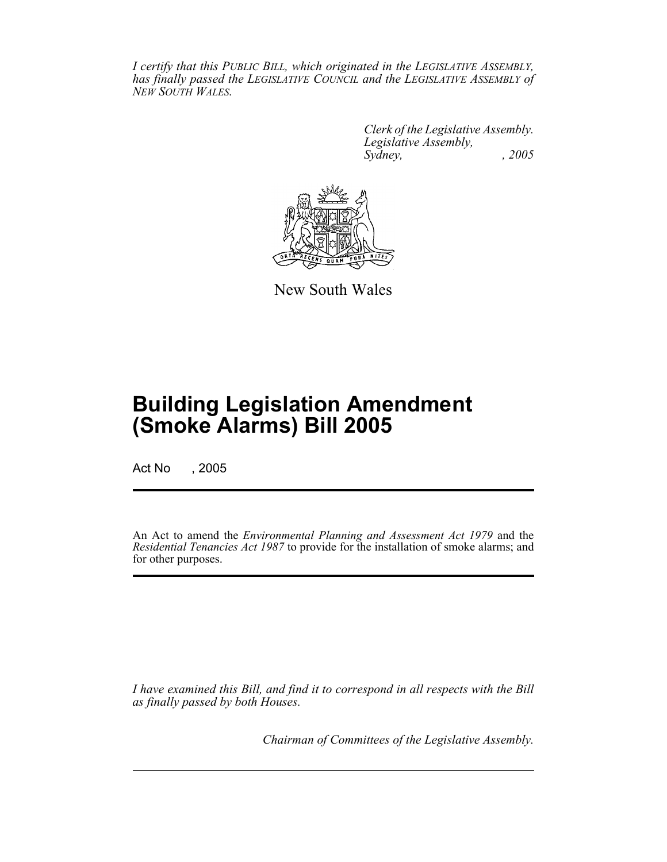*I certify that this PUBLIC BILL, which originated in the LEGISLATIVE ASSEMBLY, has finally passed the LEGISLATIVE COUNCIL and the LEGISLATIVE ASSEMBLY of NEW SOUTH WALES.*

> *Clerk of the Legislative Assembly. Legislative Assembly, Sydney, , 2005*



New South Wales

# **Building Legislation Amendment (Smoke Alarms) Bill 2005**

Act No , 2005

An Act to amend the *Environmental Planning and Assessment Act 1979* and the *Residential Tenancies Act 1987* to provide for the installation of smoke alarms; and for other purposes.

*I have examined this Bill, and find it to correspond in all respects with the Bill as finally passed by both Houses.*

*Chairman of Committees of the Legislative Assembly.*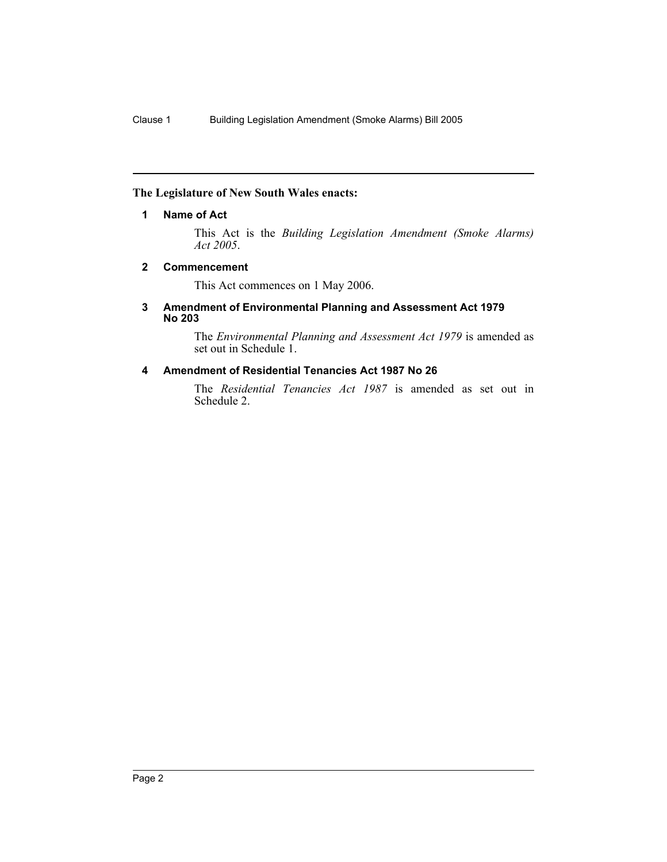#### **The Legislature of New South Wales enacts:**

#### **1 Name of Act**

This Act is the *Building Legislation Amendment (Smoke Alarms) Act 2005*.

#### **2 Commencement**

This Act commences on 1 May 2006.

#### **3 Amendment of Environmental Planning and Assessment Act 1979 No 203**

The *Environmental Planning and Assessment Act 1979* is amended as set out in Schedule 1.

### **4 Amendment of Residential Tenancies Act 1987 No 26**

The *Residential Tenancies Act 1987* is amended as set out in Schedule 2.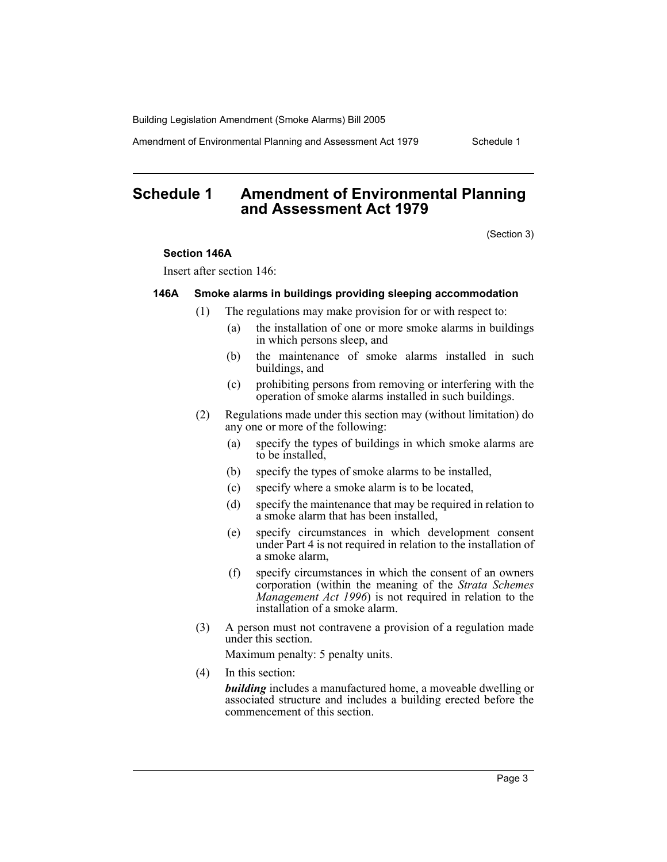Building Legislation Amendment (Smoke Alarms) Bill 2005

Amendment of Environmental Planning and Assessment Act 1979 Schedule 1

## **Schedule 1 Amendment of Environmental Planning and Assessment Act 1979**

(Section 3)

#### **Section 146A**

Insert after section 146:

#### **146A Smoke alarms in buildings providing sleeping accommodation**

- (1) The regulations may make provision for or with respect to:
	- (a) the installation of one or more smoke alarms in buildings in which persons sleep, and
	- (b) the maintenance of smoke alarms installed in such buildings, and
	- (c) prohibiting persons from removing or interfering with the operation of smoke alarms installed in such buildings.
- (2) Regulations made under this section may (without limitation) do any one or more of the following:
	- (a) specify the types of buildings in which smoke alarms are to be installed,
	- (b) specify the types of smoke alarms to be installed,
	- (c) specify where a smoke alarm is to be located,
	- (d) specify the maintenance that may be required in relation to a smoke alarm that has been installed,
	- (e) specify circumstances in which development consent under Part 4 is not required in relation to the installation of a smoke alarm,
	- (f) specify circumstances in which the consent of an owners corporation (within the meaning of the *Strata Schemes Management Act 1996*) is not required in relation to the installation of a smoke alarm.
- (3) A person must not contravene a provision of a regulation made under this section.

Maximum penalty: 5 penalty units.

(4) In this section:

*building* includes a manufactured home, a moveable dwelling or associated structure and includes a building erected before the commencement of this section.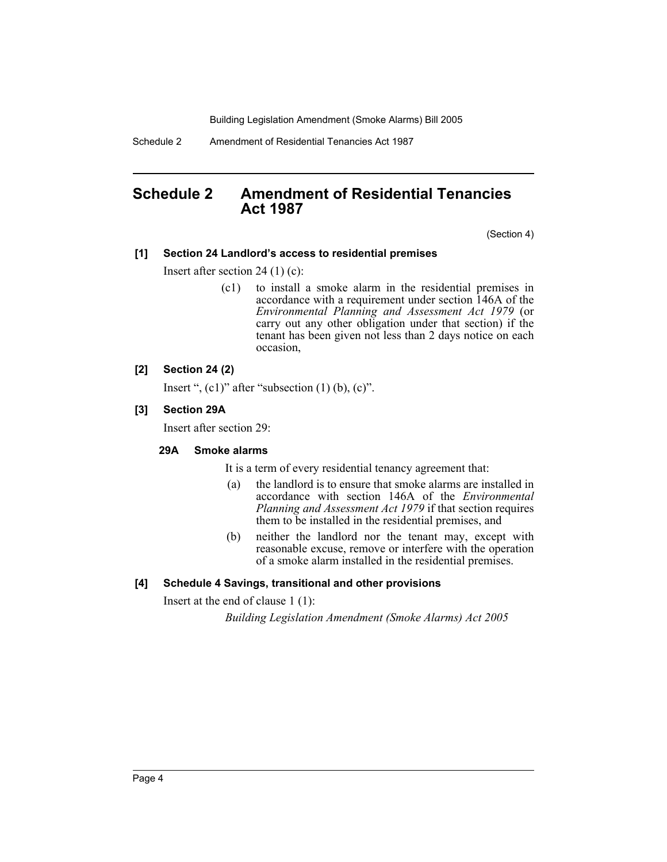Building Legislation Amendment (Smoke Alarms) Bill 2005

Schedule 2 Amendment of Residential Tenancies Act 1987

## **Schedule 2 Amendment of Residential Tenancies Act 1987**

(Section 4)

#### **[1] Section 24 Landlord's access to residential premises**

Insert after section 24 (1) (c):

(c1) to install a smoke alarm in the residential premises in accordance with a requirement under section 146A of the *Environmental Planning and Assessment Act 1979* (or carry out any other obligation under that section) if the tenant has been given not less than 2 days notice on each occasion,

#### **[2] Section 24 (2)**

Insert ",  $(c1)$ " after "subsection  $(1)$   $(b)$ ,  $(c)$ ".

#### **[3] Section 29A**

Insert after section 29:

#### **29A Smoke alarms**

It is a term of every residential tenancy agreement that:

- (a) the landlord is to ensure that smoke alarms are installed in accordance with section 146A of the *Environmental Planning and Assessment Act 1979* if that section requires them to be installed in the residential premises, and
- (b) neither the landlord nor the tenant may, except with reasonable excuse, remove or interfere with the operation of a smoke alarm installed in the residential premises.

#### **[4] Schedule 4 Savings, transitional and other provisions**

Insert at the end of clause 1 (1):

*Building Legislation Amendment (Smoke Alarms) Act 2005*